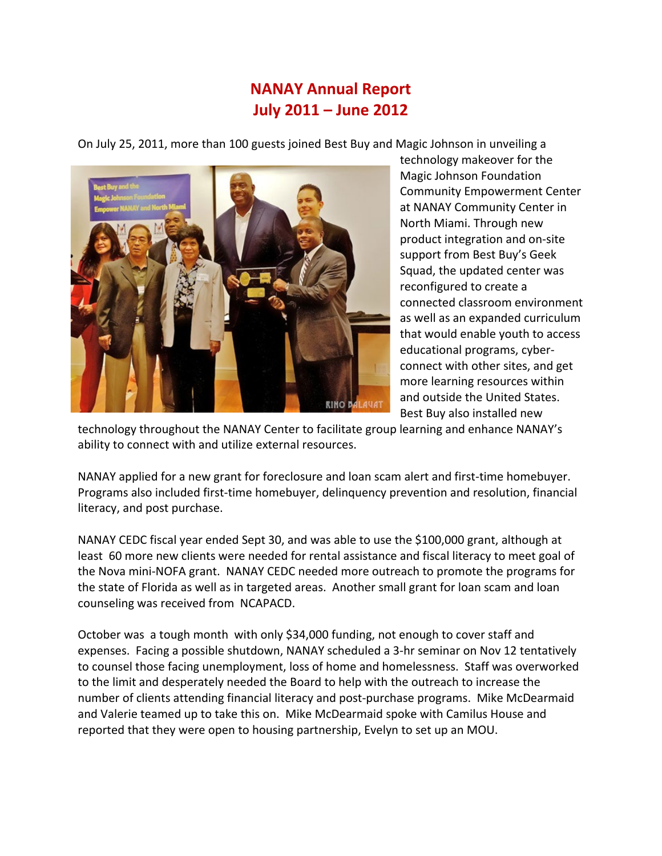## **NANAY Annual Report July 2011 – June 2012**

On July 25, 2011, more than 100 guests joined Best Buy and Magic Johnson in unveiling a



technology makeover for the Magic Johnson Foundation Community Empowerment Center at NANAY Community Center in North Miami. Through new product integration and on-site support from Best Buy's Geek Squad, the updated center was reconfigured to create a connected classroom environment as well as an expanded curriculum that would enable youth to access educational programs, cyberconnect with other sites, and get more learning resources within and outside the United States. Best Buy also installed new

technology throughout the NANAY Center to facilitate group learning and enhance NANAY's ability to connect with and utilize external resources.

NANAY applied for a new grant for foreclosure and loan scam alert and first-time homebuyer. Programs also included first-time homebuyer, delinquency prevention and resolution, financial literacy, and post purchase.

NANAY CEDC fiscal year ended Sept 30, and was able to use the \$100,000 grant, although at least 60 more new clients were needed for rental assistance and fiscal literacy to meet goal of the Nova mini-NOFA grant. NANAY CEDC needed more outreach to promote the programs for the state of Florida as well as in targeted areas. Another small grant for loan scam and loan counseling was received from NCAPACD.

October was a tough month with only \$34,000 funding, not enough to cover staff and expenses. Facing a possible shutdown, NANAY scheduled a 3-hr seminar on Nov 12 tentatively to counsel those facing unemployment, loss of home and homelessness. Staff was overworked to the limit and desperately needed the Board to help with the outreach to increase the number of clients attending financial literacy and post-purchase programs. Mike McDearmaid and Valerie teamed up to take this on. Mike McDearmaid spoke with Camilus House and reported that they were open to housing partnership, Evelyn to set up an MOU.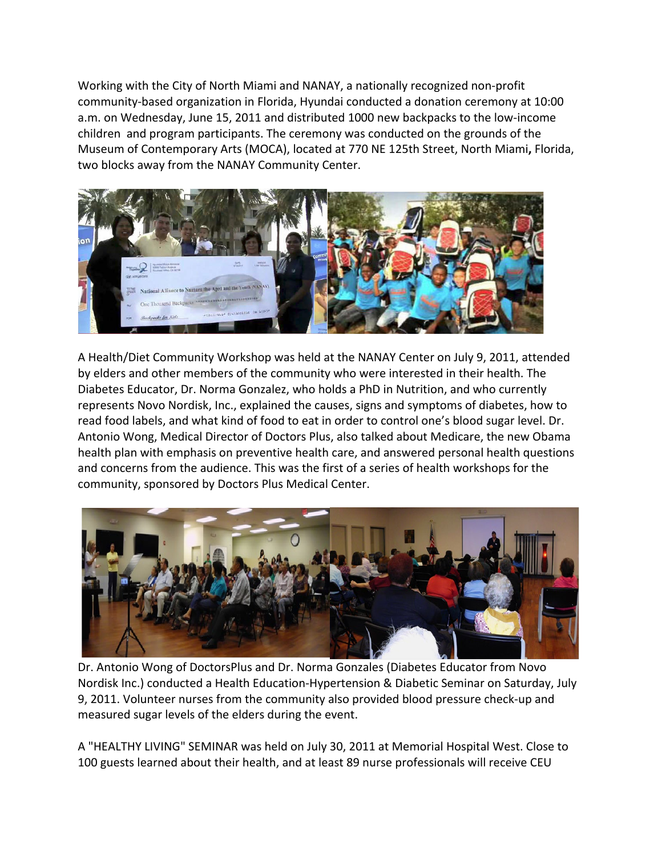Working with the City of North Miami and NANAY, a nationally recognized non-profit community-based organization in Florida, Hyundai conducted a donation ceremony at 10:00 a.m. on Wednesday, June 15, 2011 and distributed 1000 new backpacks to the low-income children and program participants. The ceremony was conducted on the grounds of the Museum of Contemporary Arts (MOCA), located at 770 NE 125th Street, North Miami**,** Florida, two blocks away from the NANAY Community Center.



A Health/Diet Community Workshop was held at the NANAY Center on July 9, 2011, attended by elders and other members of the community who were interested in their health. The Diabetes Educator, Dr. Norma Gonzalez, who holds a PhD in Nutrition, and who currently represents Novo Nordisk, Inc., explained the causes, signs and symptoms of diabetes, how to read food labels, and what kind of food to eat in order to control one's blood sugar level. Dr. Antonio Wong, Medical Director of Doctors Plus, also talked about Medicare, the new Obama health plan with emphasis on preventive health care, and answered personal health questions and concerns from the audience. This was the first of a series of health workshops for the community, sponsored by Doctors Plus Medical Center.



Dr. Antonio Wong of DoctorsPlus and Dr. Norma Gonzales (Diabetes Educator from Novo Nordisk Inc.) conducted a Health Education-Hypertension & Diabetic Seminar on Saturday, July 9, 2011. Volunteer nurses from the community also provided blood pressure check-up and measured sugar levels of the elders during the event.

A "HEALTHY LIVING" SEMINAR was held on July 30, 2011 at Memorial Hospital West. Close to 100 guests learned about their health, and at least 89 nurse professionals will receive CEU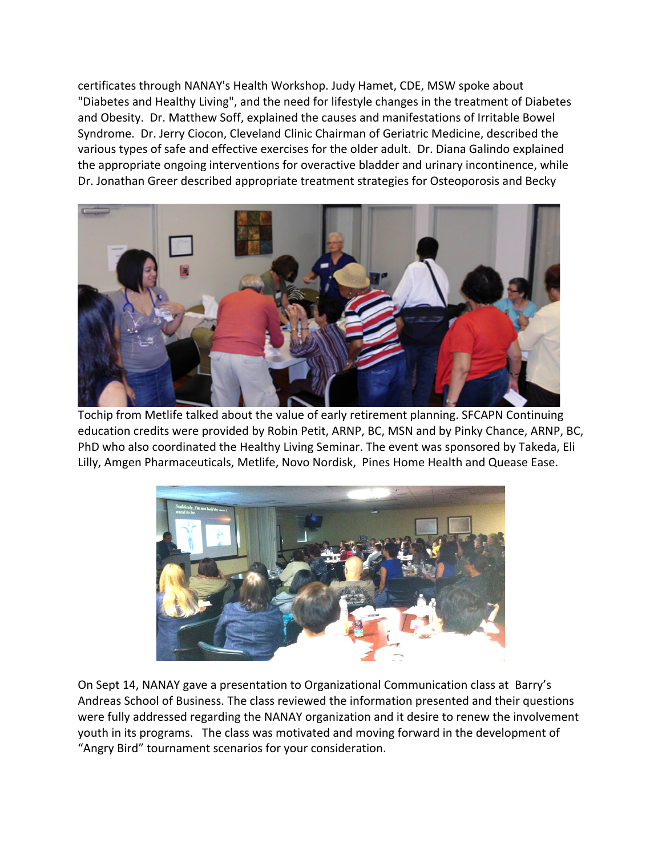certificates through NANAY's Health Workshop. Judy Hamet, CDE, MSW spoke about "Diabetes and Healthy Living", and the need for lifestyle changes in the treatment of Diabetes and Obesity. Dr. Matthew Soff, explained the causes and manifestations of Irritable Bowel Syndrome. Dr. Jerry Ciocon, Cleveland Clinic Chairman of Geriatric Medicine, described the various types of safe and effective exercises for the older adult. Dr. Diana Galindo explained the appropriate ongoing interventions for overactive bladder and urinary incontinence, while Dr. Jonathan Greer described appropriate treatment strategies for Osteoporosis and Becky



Tochip from Metlife talked about the value of early retirement planning. SFCAPN Continuing education credits were provided by Robin Petit, ARNP, BC, MSN and by Pinky Chance, ARNP, BC, PhD who also coordinated the Healthy Living Seminar. The event was sponsored by Takeda, Eli Lilly, Amgen Pharmaceuticals, Metlife, Novo Nordisk, Pines Home Health and Quease Ease.



On Sept 14, NANAY gave a presentation to Organizational Communication class at Barry's Andreas School of Business. The class reviewed the information presented and their questions were fully addressed regarding the NANAY organization and it desire to renew the involvement youth in its programs. The class was motivated and moving forward in the development of "Angry Bird" tournament scenarios for your consideration.